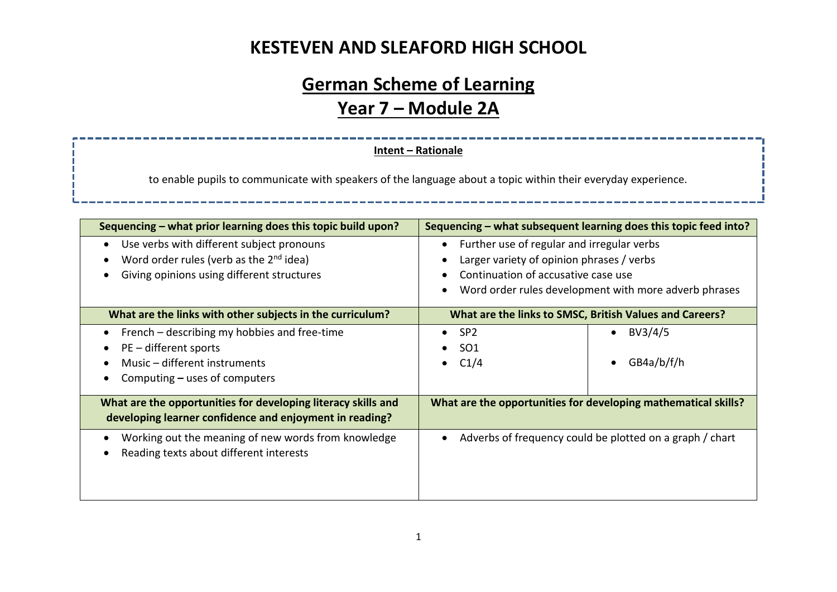# **German Scheme of Learning Year 7 – Module 2A**

#### **Intent – Rationale**

to enable pupils to communicate with speakers of the language about a topic within their everyday experience.

| Sequencing – what prior learning does this topic build upon?                                                                                   | Sequencing – what subsequent learning does this topic feed into?                                                                                                                        |  |
|------------------------------------------------------------------------------------------------------------------------------------------------|-----------------------------------------------------------------------------------------------------------------------------------------------------------------------------------------|--|
| Use verbs with different subject pronouns<br>Word order rules (verb as the 2 <sup>nd</sup> idea)<br>Giving opinions using different structures | Further use of regular and irregular verbs<br>Larger variety of opinion phrases / verbs<br>Continuation of accusative case use<br>Word order rules development with more adverb phrases |  |
| What are the links with other subjects in the curriculum?                                                                                      | What are the links to SMSC, British Values and Careers?                                                                                                                                 |  |
| French – describing my hobbies and free-time<br>PE - different sports<br>Music - different instruments<br>Computing $-$ uses of computers      | BV3/4/5<br>SP <sub>2</sub><br>$\bullet$<br>$\bullet$<br>SO <sub>1</sub><br>C1/4<br>GB4a/b/f/h                                                                                           |  |
| What are the opportunities for developing literacy skills and<br>developing learner confidence and enjoyment in reading?                       | What are the opportunities for developing mathematical skills?                                                                                                                          |  |
| Working out the meaning of new words from knowledge<br>Reading texts about different interests                                                 | Adverbs of frequency could be plotted on a graph / chart                                                                                                                                |  |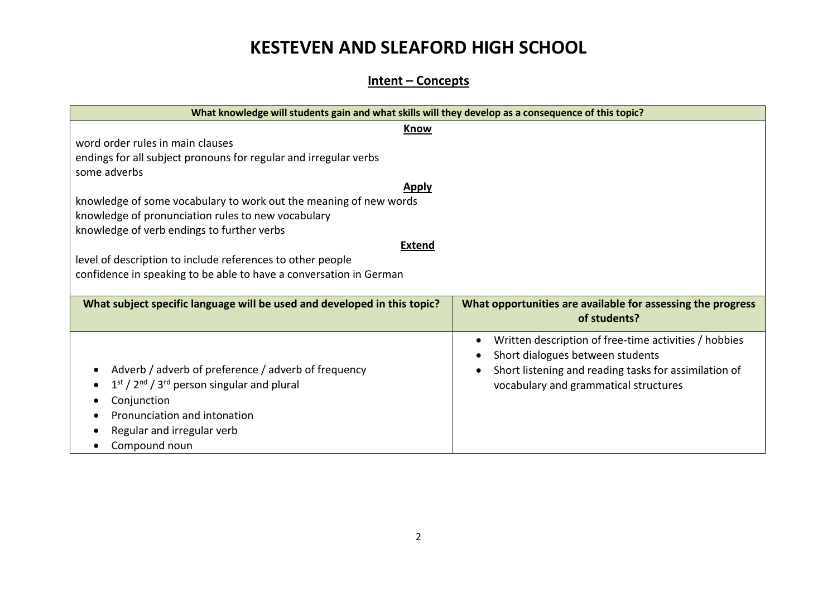#### **Intent – Concepts**

| What knowledge will students gain and what skills will they develop as a consequence of this topic? |                                                                             |  |  |  |
|-----------------------------------------------------------------------------------------------------|-----------------------------------------------------------------------------|--|--|--|
| Know                                                                                                |                                                                             |  |  |  |
| word order rules in main clauses                                                                    |                                                                             |  |  |  |
| endings for all subject pronouns for regular and irregular verbs                                    |                                                                             |  |  |  |
| some adverbs                                                                                        |                                                                             |  |  |  |
| <b>Apply</b>                                                                                        |                                                                             |  |  |  |
| knowledge of some vocabulary to work out the meaning of new words                                   |                                                                             |  |  |  |
| knowledge of pronunciation rules to new vocabulary                                                  |                                                                             |  |  |  |
| knowledge of verb endings to further verbs                                                          |                                                                             |  |  |  |
| <b>Extend</b>                                                                                       |                                                                             |  |  |  |
| level of description to include references to other people                                          |                                                                             |  |  |  |
| confidence in speaking to be able to have a conversation in German                                  |                                                                             |  |  |  |
|                                                                                                     |                                                                             |  |  |  |
| What subject specific language will be used and developed in this topic?                            | What opportunities are available for assessing the progress<br>of students? |  |  |  |
|                                                                                                     |                                                                             |  |  |  |
|                                                                                                     | Written description of free-time activities / hobbies                       |  |  |  |
|                                                                                                     | Short dialogues between students                                            |  |  |  |
| Adverb / adverb of preference / adverb of frequency                                                 | Short listening and reading tasks for assimilation of                       |  |  |  |
| 1st / 2 <sup>nd</sup> / 3 <sup>rd</sup> person singular and plural                                  | vocabulary and grammatical structures                                       |  |  |  |
| Conjunction                                                                                         |                                                                             |  |  |  |
| Pronunciation and intonation                                                                        |                                                                             |  |  |  |
| Regular and irregular verb                                                                          |                                                                             |  |  |  |
| Compound noun                                                                                       |                                                                             |  |  |  |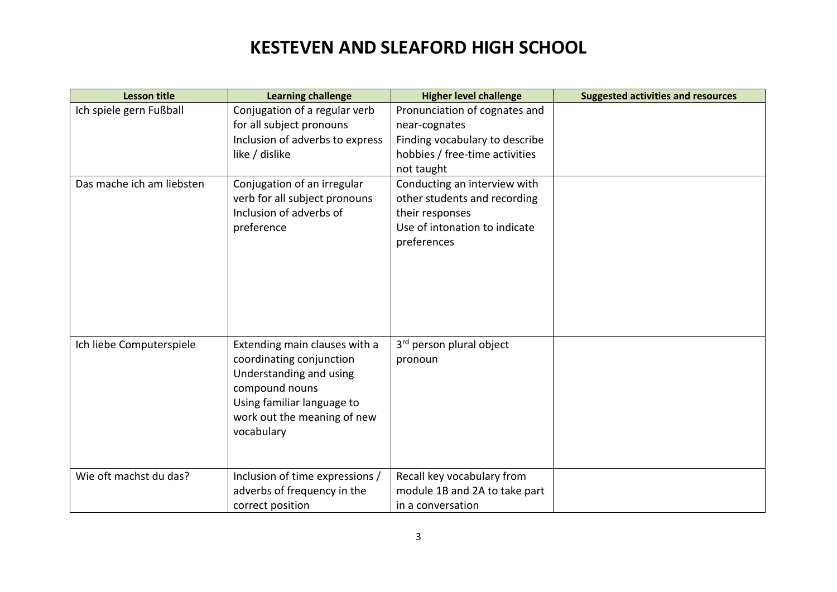| <b>Lesson title</b>       | <b>Learning challenge</b>                                                                                                                                                         | <b>Higher level challenge</b>                                                                                                    | <b>Suggested activities and resources</b> |
|---------------------------|-----------------------------------------------------------------------------------------------------------------------------------------------------------------------------------|----------------------------------------------------------------------------------------------------------------------------------|-------------------------------------------|
| Ich spiele gern Fußball   | Conjugation of a regular verb<br>for all subject pronouns<br>Inclusion of adverbs to express<br>like / dislike                                                                    | Pronunciation of cognates and<br>near-cognates<br>Finding vocabulary to describe<br>hobbies / free-time activities<br>not taught |                                           |
| Das mache ich am liebsten | Conjugation of an irregular<br>verb for all subject pronouns<br>Inclusion of adverbs of<br>preference                                                                             | Conducting an interview with<br>other students and recording<br>their responses<br>Use of intonation to indicate<br>preferences  |                                           |
| Ich liebe Computerspiele  | Extending main clauses with a<br>coordinating conjunction<br>Understanding and using<br>compound nouns<br>Using familiar language to<br>work out the meaning of new<br>vocabulary | 3 <sup>rd</sup> person plural object<br>pronoun                                                                                  |                                           |
| Wie oft machst du das?    | Inclusion of time expressions /<br>adverbs of frequency in the<br>correct position                                                                                                | Recall key vocabulary from<br>module 1B and 2A to take part<br>in a conversation                                                 |                                           |